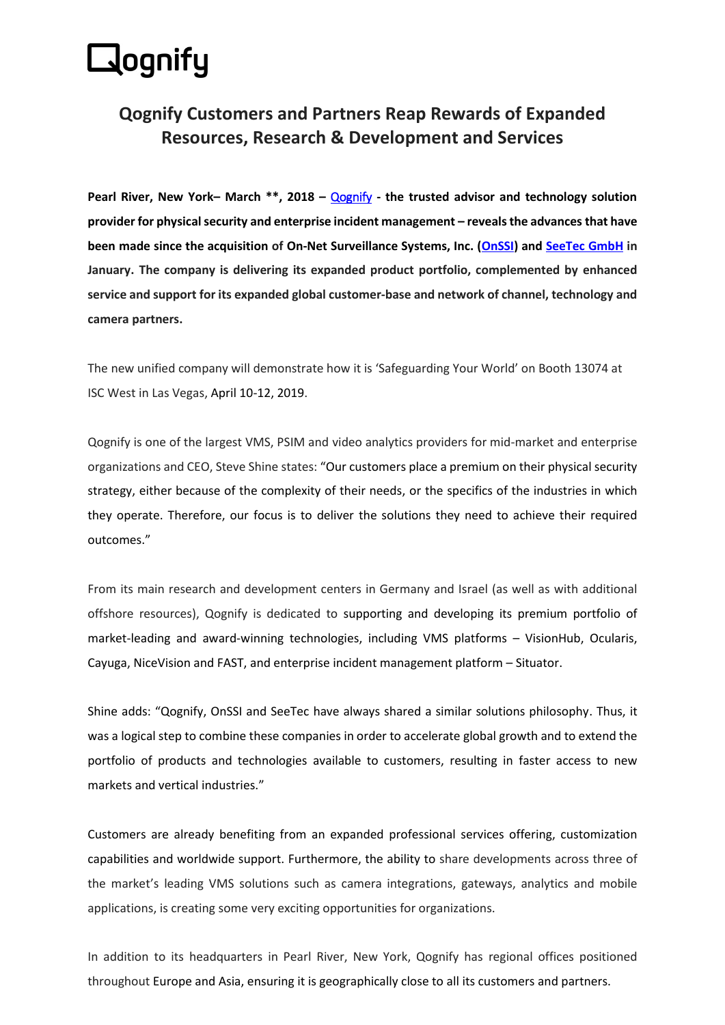## Qognify

## **Qognify Customers and Partners Reap Rewards of Expanded Resources, Research & Development and Services**

**Pearl River, New York– March \*\*, 2018 –** [Qognify](http://www.qognify.com/) **- the trusted advisor and technology solution provider for physical security and enterprise incident management – revealsthe advances that have been made since the acquisition of On-Net Surveillance Systems, Inc. [\(OnSSI\)](http://www.onssi.com/) and [SeeTec GmbH](https://www.seetec-video.com/) in January. The company is delivering its expanded product portfolio, complemented by enhanced service and support for its expanded global customer-base and network of channel, technology and camera partners.** 

The new unified company will demonstrate how it is 'Safeguarding Your World' on Booth 13074 at ISC West in Las Vegas, April 10-12, 2019.

Qognify is one of the largest VMS, PSIM and video analytics providers for mid-market and enterprise organizations and CEO, Steve Shine states: "Our customers place a premium on their physical security strategy, either because of the complexity of their needs, or the specifics of the industries in which they operate. Therefore, our focus is to deliver the solutions they need to achieve their required outcomes."

From its main research and development centers in Germany and Israel (as well as with additional offshore resources), Qognify is dedicated to supporting and developing its premium portfolio of market-leading and award-winning technologies, including VMS platforms – VisionHub, Ocularis, Cayuga, NiceVision and FAST, and enterprise incident management platform – Situator.

Shine adds: "Qognify, OnSSI and SeeTec have always shared a similar solutions philosophy. Thus, it was a logical step to combine these companies in order to accelerate global growth and to extend the portfolio of products and technologies available to customers, resulting in faster access to new markets and vertical industries."

Customers are already benefiting from an expanded professional services offering, customization capabilities and worldwide support. Furthermore, the ability to share developments across three of the market's leading VMS solutions such as camera integrations, gateways, analytics and mobile applications, is creating some very exciting opportunities for organizations.

In addition to its headquarters in Pearl River, New York, Qognify has regional offices positioned throughout Europe and Asia, ensuring it is geographically close to all its customers and partners.